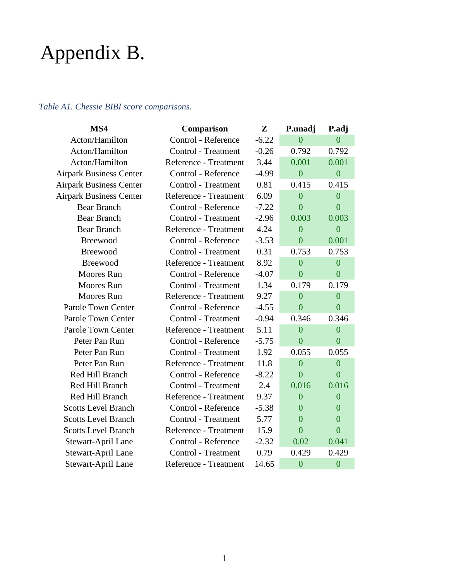# Appendix B.

## *Table A1. Chessie BIBI score comparisons.*

| MS4                            | Comparison                 | $\mathbf{Z}$ | P.unadj        | P.adj          |
|--------------------------------|----------------------------|--------------|----------------|----------------|
| Acton/Hamilton                 | Control - Reference        | $-6.22$      | $\overline{0}$ | $\overline{0}$ |
| Acton/Hamilton                 | <b>Control</b> - Treatment | $-0.26$      | 0.792          | 0.792          |
| Acton/Hamilton                 | Reference - Treatment      | 3.44         | 0.001          | 0.001          |
| <b>Airpark Business Center</b> | Control - Reference        | $-4.99$      | $\overline{0}$ | $\overline{0}$ |
| <b>Airpark Business Center</b> | <b>Control</b> - Treatment | 0.81         | 0.415          | 0.415          |
| <b>Airpark Business Center</b> | Reference - Treatment      | 6.09         | $\overline{0}$ | $\overline{0}$ |
| <b>Bear Branch</b>             | Control - Reference        | $-7.22$      | $\overline{0}$ | $\overline{0}$ |
| <b>Bear Branch</b>             | <b>Control</b> - Treatment | $-2.96$      | 0.003          | 0.003          |
| <b>Bear Branch</b>             | Reference - Treatment      | 4.24         | $\overline{0}$ | $\overline{0}$ |
| Breewood                       | Control - Reference        | $-3.53$      | $\overline{0}$ | 0.001          |
| Breewood                       | <b>Control</b> - Treatment | 0.31         | 0.753          | 0.753          |
| <b>Breewood</b>                | Reference - Treatment      | 8.92         | $\overline{0}$ | $\overline{0}$ |
| <b>Moores</b> Run              | Control - Reference        | $-4.07$      | $\overline{0}$ | $\overline{0}$ |
| <b>Moores</b> Run              | <b>Control</b> - Treatment | 1.34         | 0.179          | 0.179          |
| <b>Moores</b> Run              | Reference - Treatment      | 9.27         | $\overline{0}$ | $\overline{0}$ |
| Parole Town Center             | Control - Reference        | $-4.55$      | $\overline{0}$ | $\overline{0}$ |
| Parole Town Center             | Control - Treatment        | $-0.94$      | 0.346          | 0.346          |
| Parole Town Center             | Reference - Treatment      | 5.11         | $\overline{0}$ | $\overline{0}$ |
| Peter Pan Run                  | Control - Reference        | $-5.75$      | $\overline{0}$ | $\overline{0}$ |
| Peter Pan Run                  | Control - Treatment        | 1.92         | 0.055          | 0.055          |
| Peter Pan Run                  | Reference - Treatment      | 11.8         | $\overline{0}$ | $\overline{0}$ |
| Red Hill Branch                | Control - Reference        | $-8.22$      | $\overline{0}$ | $\overline{0}$ |
| Red Hill Branch                | Control - Treatment        | 2.4          | 0.016          | 0.016          |
| Red Hill Branch                | Reference - Treatment      | 9.37         | $\theta$       | $\theta$       |
| <b>Scotts Level Branch</b>     | Control - Reference        | $-5.38$      | $\overline{0}$ | $\overline{0}$ |
| <b>Scotts Level Branch</b>     | <b>Control</b> - Treatment | 5.77         | $\overline{0}$ | $\overline{0}$ |
| <b>Scotts Level Branch</b>     | Reference - Treatment      | 15.9         | $\overline{0}$ | $\overline{0}$ |
| Stewart-April Lane             | Control - Reference        | $-2.32$      | 0.02           | 0.041          |
| Stewart-April Lane             | Control - Treatment        | 0.79         | 0.429          | 0.429          |
| Stewart-April Lane             | Reference - Treatment      | 14.65        | $\overline{0}$ | $\overline{0}$ |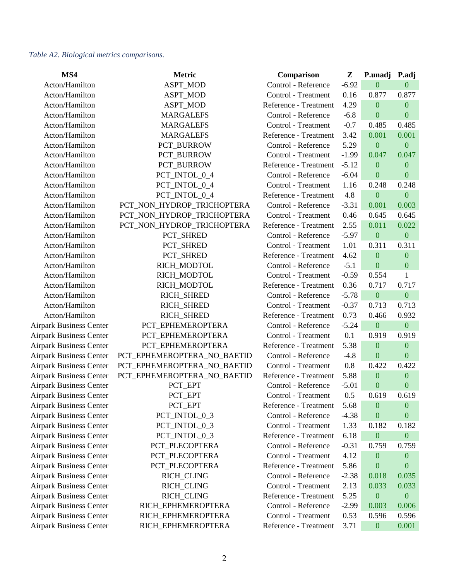#### *Table A2. Biological metrics comparisons.*

| MS4                            | <b>Metric</b>               | Comparison            | Z       | P.unadj          | P.adj            |
|--------------------------------|-----------------------------|-----------------------|---------|------------------|------------------|
| Acton/Hamilton                 | ASPT_MOD                    | Control - Reference   | $-6.92$ | $\overline{0}$   | $\overline{0}$   |
| Acton/Hamilton                 | ASPT_MOD                    | Control - Treatment   | 0.16    | 0.877            | 0.877            |
| Acton/Hamilton                 | ASPT_MOD                    | Reference - Treatment | 4.29    | $\boldsymbol{0}$ | $\mathbf{0}$     |
| Acton/Hamilton                 | <b>MARGALEFS</b>            | Control - Reference   | $-6.8$  | $\boldsymbol{0}$ | $\boldsymbol{0}$ |
| Acton/Hamilton                 | <b>MARGALEFS</b>            | Control - Treatment   | $-0.7$  | 0.485            | 0.485            |
| Acton/Hamilton                 | <b>MARGALEFS</b>            | Reference - Treatment | 3.42    | 0.001            | 0.001            |
| Acton/Hamilton                 | PCT_BURROW                  | Control - Reference   | 5.29    | $\overline{0}$   | $\boldsymbol{0}$ |
| Acton/Hamilton                 | PCT_BURROW                  | Control - Treatment   | $-1.99$ | 0.047            | 0.047            |
| Acton/Hamilton                 | PCT_BURROW                  | Reference - Treatment | $-5.12$ | $\mathbf{0}$     | $\mathbf{0}$     |
| Acton/Hamilton                 | PCT_INTOL_0_4               | Control - Reference   | $-6.04$ | $\boldsymbol{0}$ | $\boldsymbol{0}$ |
| Acton/Hamilton                 | PCT_INTOL_0_4               | Control - Treatment   | 1.16    | 0.248            | 0.248            |
| Acton/Hamilton                 | PCT_INTOL_0_4               | Reference - Treatment | 4.8     | $\boldsymbol{0}$ | $\boldsymbol{0}$ |
| Acton/Hamilton                 | PCT_NON_HYDROP_TRICHOPTERA  | Control - Reference   | $-3.31$ | 0.001            | 0.003            |
| Acton/Hamilton                 | PCT_NON_HYDROP_TRICHOPTERA  | Control - Treatment   | 0.46    | 0.645            | 0.645            |
| Acton/Hamilton                 | PCT_NON_HYDROP_TRICHOPTERA  | Reference - Treatment | 2.55    | 0.011            | 0.022            |
| Acton/Hamilton                 | PCT_SHRED                   | Control - Reference   | $-5.97$ | $\boldsymbol{0}$ | $\boldsymbol{0}$ |
| Acton/Hamilton                 | PCT_SHRED                   | Control - Treatment   | 1.01    | 0.311            | 0.311            |
| Acton/Hamilton                 | PCT_SHRED                   | Reference - Treatment | 4.62    | $\boldsymbol{0}$ | $\boldsymbol{0}$ |
| Acton/Hamilton                 | RICH_MODTOL                 | Control - Reference   | $-5.1$  | $\boldsymbol{0}$ | $\boldsymbol{0}$ |
| Acton/Hamilton                 | RICH_MODTOL                 | Control - Treatment   | $-0.59$ | 0.554            | $\mathbf{1}$     |
| Acton/Hamilton                 | RICH_MODTOL                 | Reference - Treatment | 0.36    | 0.717            | 0.717            |
| Acton/Hamilton                 | RICH_SHRED                  | Control - Reference   | $-5.78$ | $\boldsymbol{0}$ | $\boldsymbol{0}$ |
| Acton/Hamilton                 | RICH_SHRED                  | Control - Treatment   | $-0.37$ | 0.713            | 0.713            |
| Acton/Hamilton                 | RICH_SHRED                  | Reference - Treatment | 0.73    | 0.466            | 0.932            |
| <b>Airpark Business Center</b> | PCT_EPHEMEROPTERA           | Control - Reference   | $-5.24$ | $\boldsymbol{0}$ | $\boldsymbol{0}$ |
| <b>Airpark Business Center</b> | PCT_EPHEMEROPTERA           | Control - Treatment   | 0.1     | 0.919            | 0.919            |
| <b>Airpark Business Center</b> | PCT_EPHEMEROPTERA           | Reference - Treatment | 5.38    | $\boldsymbol{0}$ | $\mathbf{0}$     |
| <b>Airpark Business Center</b> | PCT_EPHEMEROPTERA_NO_BAETID | Control - Reference   | $-4.8$  | $\mathbf{0}$     | $\boldsymbol{0}$ |
| <b>Airpark Business Center</b> | PCT_EPHEMEROPTERA_NO_BAETID | Control - Treatment   | 0.8     | 0.422            | 0.422            |
| <b>Airpark Business Center</b> | PCT_EPHEMEROPTERA_NO_BAETID | Reference - Treatment | 5.88    | $\boldsymbol{0}$ | $\mathbf{0}$     |
| <b>Airpark Business Center</b> | PCT_EPT                     | Control - Reference   | $-5.01$ | $\boldsymbol{0}$ | $\boldsymbol{0}$ |
| <b>Airpark Business Center</b> | PCT_EPT                     | Control - Treatment   | 0.5     | 0.619            | 0.619            |
| <b>Airpark Business Center</b> | PCT_EPT                     | Reference - Treatment | 5.68    | $\mathbf{0}$     | $\bf{0}$         |
| <b>Airpark Business Center</b> | PCT_INTOL_0_3               | Control - Reference   | $-4.38$ | $\boldsymbol{0}$ | $\boldsymbol{0}$ |
| <b>Airpark Business Center</b> | PCT_INTOL_0_3               | Control - Treatment   | 1.33    | 0.182            | 0.182            |
| <b>Airpark Business Center</b> | PCT_INTOL_0_3               | Reference - Treatment | 6.18    | $\boldsymbol{0}$ | $\boldsymbol{0}$ |
| <b>Airpark Business Center</b> | PCT_PLECOPTERA              | Control - Reference   | $-0.31$ | 0.759            | 0.759            |
| <b>Airpark Business Center</b> | PCT_PLECOPTERA              | Control - Treatment   | 4.12    | $\boldsymbol{0}$ | $\boldsymbol{0}$ |
| <b>Airpark Business Center</b> | PCT_PLECOPTERA              | Reference - Treatment | 5.86    | $\overline{0}$   | $\bf{0}$         |
| <b>Airpark Business Center</b> | RICH_CLING                  | Control - Reference   | $-2.38$ | 0.018            | 0.035            |
| <b>Airpark Business Center</b> | RICH_CLING                  | Control - Treatment   | 2.13    | 0.033            | 0.033            |
| <b>Airpark Business Center</b> | RICH_CLING                  | Reference - Treatment | 5.25    | $\boldsymbol{0}$ | $\boldsymbol{0}$ |
| <b>Airpark Business Center</b> | RICH_EPHEMEROPTERA          | Control - Reference   | $-2.99$ | 0.003            | 0.006            |
| <b>Airpark Business Center</b> | RICH_EPHEMEROPTERA          | Control - Treatment   | 0.53    | 0.596            | 0.596            |
| <b>Airpark Business Center</b> | RICH_EPHEMEROPTERA          | Reference - Treatment | 3.71    | $\mathbf{0}$     | 0.001            |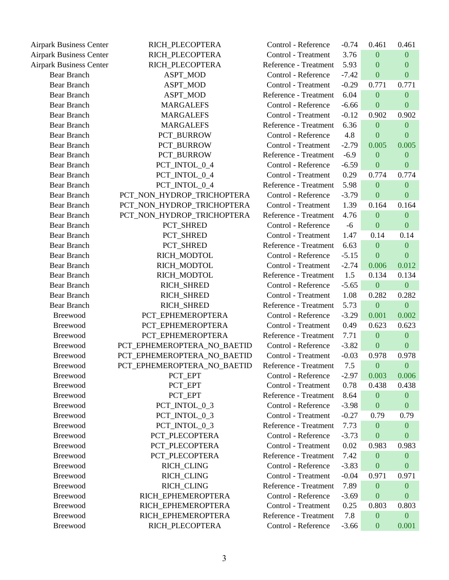| <b>Airpark Business Center</b> | RICH_PLECOPTERA             | Control - Reference   | $-0.74$ | 0.461            | 0.461            |
|--------------------------------|-----------------------------|-----------------------|---------|------------------|------------------|
| <b>Airpark Business Center</b> | RICH PLECOPTERA             | Control - Treatment   | 3.76    | $\boldsymbol{0}$ | $\boldsymbol{0}$ |
| <b>Airpark Business Center</b> | RICH_PLECOPTERA             | Reference - Treatment | 5.93    | $\mathbf{0}$     | $\mathbf{0}$     |
| <b>Bear Branch</b>             | ASPT_MOD                    | Control - Reference   | $-7.42$ | $\boldsymbol{0}$ | $\boldsymbol{0}$ |
| <b>Bear Branch</b>             | ASPT_MOD                    | Control - Treatment   | $-0.29$ | 0.771            | 0.771            |
| <b>Bear Branch</b>             | ASPT_MOD                    | Reference - Treatment | 6.04    | $\boldsymbol{0}$ | $\boldsymbol{0}$ |
| <b>Bear Branch</b>             | <b>MARGALEFS</b>            | Control - Reference   | $-6.66$ | $\boldsymbol{0}$ | $\boldsymbol{0}$ |
| <b>Bear Branch</b>             | <b>MARGALEFS</b>            | Control - Treatment   | $-0.12$ | 0.902            | 0.902            |
| <b>Bear Branch</b>             | <b>MARGALEFS</b>            | Reference - Treatment | 6.36    | $\boldsymbol{0}$ | $\mathbf{0}$     |
| <b>Bear Branch</b>             | PCT_BURROW                  | Control - Reference   | 4.8     | $\boldsymbol{0}$ | $\mathbf{0}$     |
| <b>Bear Branch</b>             | PCT_BURROW                  | Control - Treatment   | $-2.79$ | 0.005            | 0.005            |
| <b>Bear Branch</b>             | PCT_BURROW                  | Reference - Treatment | $-6.9$  | $\boldsymbol{0}$ | $\boldsymbol{0}$ |
| <b>Bear Branch</b>             | PCT_INTOL_0_4               | Control - Reference   | $-6.59$ | $\boldsymbol{0}$ | $\boldsymbol{0}$ |
| <b>Bear Branch</b>             | PCT_INTOL_0_4               | Control - Treatment   | 0.29    | 0.774            | 0.774            |
| <b>Bear Branch</b>             | PCT_INTOL_0_4               | Reference - Treatment | 5.98    | $\boldsymbol{0}$ | $\overline{0}$   |
| <b>Bear Branch</b>             | PCT_NON_HYDROP_TRICHOPTERA  | Control - Reference   | $-3.79$ | $\boldsymbol{0}$ | $\boldsymbol{0}$ |
| <b>Bear Branch</b>             | PCT_NON_HYDROP_TRICHOPTERA  | Control - Treatment   | 1.39    | 0.164            | 0.164            |
| <b>Bear Branch</b>             | PCT_NON_HYDROP_TRICHOPTERA  | Reference - Treatment | 4.76    | $\overline{0}$   | $\mathbf{0}$     |
| <b>Bear Branch</b>             | PCT_SHRED                   | Control - Reference   | $-6$    | $\mathbf{0}$     | $\boldsymbol{0}$ |
| <b>Bear Branch</b>             | PCT_SHRED                   | Control - Treatment   | 1.47    | 0.14             | 0.14             |
| <b>Bear Branch</b>             | PCT_SHRED                   | Reference - Treatment | 6.63    | $\boldsymbol{0}$ | $\boldsymbol{0}$ |
| <b>Bear Branch</b>             | RICH_MODTOL                 | Control - Reference   | $-5.15$ | $\mathbf{0}$     | $\mathbf{0}$     |
| <b>Bear Branch</b>             | RICH_MODTOL                 | Control - Treatment   | $-2.74$ | 0.006            | 0.012            |
| <b>Bear Branch</b>             | RICH_MODTOL                 | Reference - Treatment | 1.5     | 0.134            | 0.134            |
| <b>Bear Branch</b>             | RICH_SHRED                  | Control - Reference   | $-5.65$ | $\boldsymbol{0}$ | $\boldsymbol{0}$ |
| <b>Bear Branch</b>             | RICH_SHRED                  | Control - Treatment   | 1.08    | 0.282            | 0.282            |
| <b>Bear Branch</b>             | RICH_SHRED                  | Reference - Treatment | 5.73    | $\boldsymbol{0}$ | $\boldsymbol{0}$ |
| Breewood                       | PCT_EPHEMEROPTERA           | Control - Reference   | $-3.29$ | 0.001            | 0.002            |
| Breewood                       | PCT_EPHEMEROPTERA           | Control - Treatment   | 0.49    | 0.623            | 0.623            |
| Breewood                       | PCT_EPHEMEROPTERA           | Reference - Treatment | 7.71    | $\boldsymbol{0}$ | $\boldsymbol{0}$ |
| Breewood                       | PCT_EPHEMEROPTERA_NO_BAETID | Control - Reference   | $-3.82$ | $\boldsymbol{0}$ | $\boldsymbol{0}$ |
| <b>Breewood</b>                | PCT_EPHEMEROPTERA_NO_BAETID | Control - Treatment   | $-0.03$ | 0.978            | 0.978            |
| Breewood                       | PCT_EPHEMEROPTERA_NO_BAETID | Reference - Treatment | 7.5     | $\overline{0}$   | $\overline{0}$   |
| <b>Breewood</b>                | PCT_EPT                     | Control - Reference   | $-2.97$ | 0.003            | 0.006            |
| Breewood                       | PCT_EPT                     | Control - Treatment   | 0.78    | 0.438            | 0.438            |
| Breewood                       | PCT EPT                     | Reference - Treatment | 8.64    | $\boldsymbol{0}$ | $\mathbf{0}$     |
| Breewood                       | PCT INTOL 0 3               | Control - Reference   | $-3.98$ | $\boldsymbol{0}$ | $\boldsymbol{0}$ |
| Breewood                       | PCT_INTOL_0_3               | Control - Treatment   | $-0.27$ | 0.79             | 0.79             |
| <b>Breewood</b>                | PCT INTOL 0 3               | Reference - Treatment | 7.73    | $\boldsymbol{0}$ | $\boldsymbol{0}$ |
| Breewood                       | PCT_PLECOPTERA              | Control - Reference   | $-3.73$ | $\boldsymbol{0}$ | $\mathbf{0}$     |
| Breewood                       | PCT_PLECOPTERA              | Control - Treatment   | 0.02    | 0.983            | 0.983            |
| Breewood                       | PCT_PLECOPTERA              | Reference - Treatment | 7.42    | $\overline{0}$   | $\mathbf{0}$     |
| Breewood                       | RICH_CLING                  | Control - Reference   | $-3.83$ | $\boldsymbol{0}$ | $\bf{0}$         |
| Breewood                       | RICH_CLING                  | Control - Treatment   | $-0.04$ | 0.971            | 0.971            |
| Breewood                       | RICH_CLING                  | Reference - Treatment | 7.89    | $\boldsymbol{0}$ | $\boldsymbol{0}$ |
| Breewood                       | RICH_EPHEMEROPTERA          | Control - Reference   | $-3.69$ | $\boldsymbol{0}$ | $\boldsymbol{0}$ |
| Breewood                       | RICH_EPHEMEROPTERA          | Control - Treatment   | 0.25    | 0.803            | 0.803            |
| Breewood                       | RICH_EPHEMEROPTERA          | Reference - Treatment | 7.8     | $\boldsymbol{0}$ | $\boldsymbol{0}$ |
| Breewood                       | RICH_PLECOPTERA             | Control - Reference   | $-3.66$ | $\boldsymbol{0}$ | 0.001            |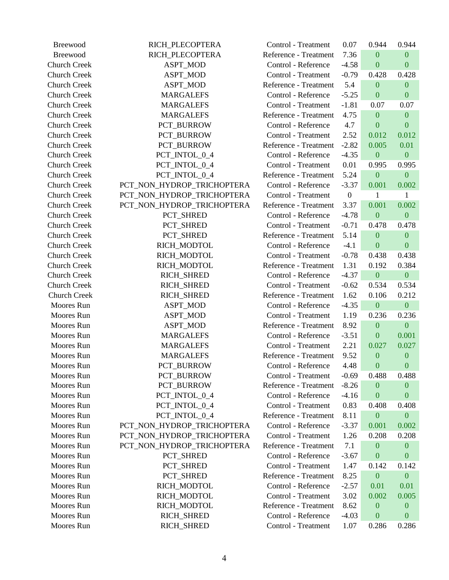| Breewood            | RICH_PLECOPTERA            | Control - Treatment   | 0.07             | 0.944            | 0.944            |
|---------------------|----------------------------|-----------------------|------------------|------------------|------------------|
| Breewood            | RICH_PLECOPTERA            | Reference - Treatment | 7.36             | $\mathbf{0}$     | $\boldsymbol{0}$ |
| <b>Church Creek</b> | ASPT_MOD                   | Control - Reference   | $-4.58$          | $\boldsymbol{0}$ | $\boldsymbol{0}$ |
| <b>Church Creek</b> | ASPT_MOD                   | Control - Treatment   | $-0.79$          | 0.428            | 0.428            |
| <b>Church Creek</b> | ASPT_MOD                   | Reference - Treatment | 5.4              | $\boldsymbol{0}$ | $\boldsymbol{0}$ |
| <b>Church Creek</b> | <b>MARGALEFS</b>           | Control - Reference   | $-5.25$          | $\boldsymbol{0}$ | $\boldsymbol{0}$ |
| <b>Church Creek</b> | <b>MARGALEFS</b>           | Control - Treatment   | $-1.81$          | 0.07             | 0.07             |
| <b>Church Creek</b> | <b>MARGALEFS</b>           | Reference - Treatment | 4.75             | $\mathbf{0}$     | $\boldsymbol{0}$ |
| <b>Church Creek</b> | PCT BURROW                 | Control - Reference   | 4.7              | $\overline{0}$   | $\boldsymbol{0}$ |
| <b>Church Creek</b> | PCT_BURROW                 | Control - Treatment   | 2.52             | 0.012            | 0.012            |
| <b>Church Creek</b> | PCT_BURROW                 | Reference - Treatment | $-2.82$          | 0.005            | 0.01             |
| <b>Church Creek</b> | PCT_INTOL_0_4              | Control - Reference   | $-4.35$          | $\boldsymbol{0}$ | $\boldsymbol{0}$ |
| <b>Church Creek</b> | PCT_INTOL_0_4              | Control - Treatment   | 0.01             | 0.995            | 0.995            |
| <b>Church Creek</b> | PCT_INTOL_0_4              | Reference - Treatment | 5.24             | $\boldsymbol{0}$ | $\boldsymbol{0}$ |
| <b>Church Creek</b> | PCT_NON_HYDROP_TRICHOPTERA | Control - Reference   | $-3.37$          | 0.001            | 0.002            |
| <b>Church Creek</b> | PCT_NON_HYDROP_TRICHOPTERA | Control - Treatment   | $\boldsymbol{0}$ | 1                | $\mathbf{1}$     |
| <b>Church Creek</b> | PCT_NON_HYDROP_TRICHOPTERA | Reference - Treatment | 3.37             | 0.001            | 0.002            |
| <b>Church Creek</b> | PCT_SHRED                  | Control - Reference   | $-4.78$          | $\boldsymbol{0}$ | $\boldsymbol{0}$ |
| <b>Church Creek</b> | PCT_SHRED                  | Control - Treatment   | $-0.71$          | 0.478            | 0.478            |
| <b>Church Creek</b> | PCT_SHRED                  | Reference - Treatment | 5.14             | $\mathbf{0}$     | $\boldsymbol{0}$ |
| <b>Church Creek</b> | RICH_MODTOL                | Control - Reference   | $-4.1$           | $\boldsymbol{0}$ | $\boldsymbol{0}$ |
| <b>Church Creek</b> | RICH_MODTOL                | Control - Treatment   | $-0.78$          | 0.438            | 0.438            |
| <b>Church Creek</b> | RICH_MODTOL                | Reference - Treatment | 1.31             | 0.192            | 0.384            |
| <b>Church Creek</b> | RICH_SHRED                 | Control - Reference   | $-4.37$          | $\boldsymbol{0}$ | $\boldsymbol{0}$ |
| <b>Church Creek</b> | RICH_SHRED                 | Control - Treatment   | $-0.62$          | 0.534            | 0.534            |
| <b>Church Creek</b> | RICH_SHRED                 | Reference - Treatment | 1.62             | 0.106            | 0.212            |
| Moores Run          | ASPT_MOD                   | Control - Reference   | $-4.35$          | $\mathbf{0}$     | $\boldsymbol{0}$ |
| Moores Run          | <b>ASPT_MOD</b>            | Control - Treatment   | 1.19             | 0.236            | 0.236            |
| Moores Run          | ASPT_MOD                   | Reference - Treatment | 8.92             | $\mathbf{0}$     | $\overline{0}$   |
| Moores Run          | <b>MARGALEFS</b>           | Control - Reference   | $-3.51$          | $\boldsymbol{0}$ | 0.001            |
| Moores Run          | <b>MARGALEFS</b>           | Control - Treatment   | 2.21             | 0.027            | 0.027            |
| Moores Run          | <b>MARGALEFS</b>           | Reference - Treatment | 9.52             | $\mathbf{0}$     | $\boldsymbol{0}$ |
| Moores Run          | PCT_BURROW                 | Control - Reference   | 4.48             | $\boldsymbol{0}$ | $\boldsymbol{0}$ |
| Moores Run          | PCT_BURROW                 | Control - Treatment   | $-0.69$          | 0.488            | 0.488            |
| Moores Run          | PCT_BURROW                 | Reference - Treatment | $-8.26$          | $\boldsymbol{0}$ | $\boldsymbol{0}$ |
| Moores Run          | PCT_INTOL_0_4              | Control - Reference   | $-4.16$          | $\boldsymbol{0}$ | $\boldsymbol{0}$ |
| Moores Run          | PCT_INTOL_0_4              | Control - Treatment   | 0.83             | 0.408            | 0.408            |
| Moores Run          | PCT_INTOL_0_4              | Reference - Treatment | 8.11             | $\boldsymbol{0}$ | $\boldsymbol{0}$ |
| Moores Run          | PCT_NON_HYDROP_TRICHOPTERA | Control - Reference   | $-3.37$          | 0.001            | 0.002            |
| Moores Run          | PCT_NON_HYDROP_TRICHOPTERA | Control - Treatment   | 1.26             | 0.208            | 0.208            |
| Moores Run          | PCT_NON_HYDROP_TRICHOPTERA | Reference - Treatment | 7.1              | $\boldsymbol{0}$ | $\boldsymbol{0}$ |
| Moores Run          | PCT_SHRED                  | Control - Reference   | $-3.67$          | $\boldsymbol{0}$ | $\boldsymbol{0}$ |
| Moores Run          | PCT_SHRED                  | Control - Treatment   | 1.47             | 0.142            | 0.142            |
| Moores Run          | PCT_SHRED                  | Reference - Treatment | 8.25             | $\boldsymbol{0}$ | $\boldsymbol{0}$ |
| Moores Run          | RICH_MODTOL                | Control - Reference   | $-2.57$          | 0.01             | 0.01             |
| Moores Run          | RICH_MODTOL                | Control - Treatment   | 3.02             | 0.002            | 0.005            |
| Moores Run          | RICH_MODTOL                | Reference - Treatment | 8.62             | $\boldsymbol{0}$ | $\boldsymbol{0}$ |
| Moores Run          | RICH_SHRED                 | Control - Reference   | $-4.03$          | $\boldsymbol{0}$ | $\boldsymbol{0}$ |
| Moores Run          | RICH_SHRED                 | Control - Treatment   | 1.07             | 0.286            | 0.286            |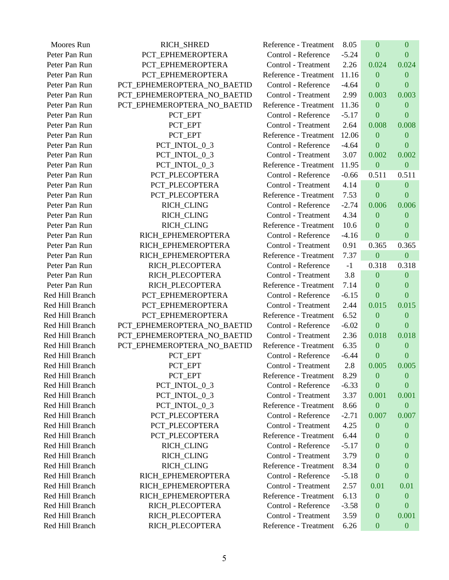| Moores Run      | RICH_SHRED                  | Reference - Treatment | 8.05    | $\mathbf{0}$     | $\mathbf{0}$     |
|-----------------|-----------------------------|-----------------------|---------|------------------|------------------|
| Peter Pan Run   | PCT_EPHEMEROPTERA           | Control - Reference   | $-5.24$ | $\theta$         | $\mathbf{0}$     |
| Peter Pan Run   | PCT_EPHEMEROPTERA           | Control - Treatment   | 2.26    | 0.024            | 0.024            |
| Peter Pan Run   | PCT_EPHEMEROPTERA           | Reference - Treatment | 11.16   | $\overline{0}$   | $\boldsymbol{0}$ |
| Peter Pan Run   | PCT_EPHEMEROPTERA_NO_BAETID | Control - Reference   | $-4.64$ | $\mathbf{0}$     | $\mathbf{0}$     |
| Peter Pan Run   | PCT_EPHEMEROPTERA_NO_BAETID | Control - Treatment   | 2.99    | 0.003            | 0.003            |
| Peter Pan Run   | PCT_EPHEMEROPTERA_NO_BAETID | Reference - Treatment | 11.36   | $\mathbf{0}$     | $\mathbf{0}$     |
| Peter Pan Run   | PCT_EPT                     | Control - Reference   | $-5.17$ | $\boldsymbol{0}$ | $\mathbf{0}$     |
| Peter Pan Run   | PCT_EPT                     | Control - Treatment   | 2.64    | 0.008            | 0.008            |
| Peter Pan Run   | PCT_EPT                     | Reference - Treatment | 12.06   | $\mathbf{0}$     | $\mathbf{0}$     |
| Peter Pan Run   | PCT_INTOL_0_3               | Control - Reference   | $-4.64$ | $\mathbf{0}$     | $\overline{0}$   |
| Peter Pan Run   | PCT_INTOL_0_3               | Control - Treatment   | 3.07    | 0.002            | 0.002            |
| Peter Pan Run   | PCT_INTOL_0_3               | Reference - Treatment | 11.95   | $\mathbf{0}$     | $\boldsymbol{0}$ |
| Peter Pan Run   | PCT_PLECOPTERA              | Control - Reference   | $-0.66$ | 0.511            | 0.511            |
| Peter Pan Run   | PCT PLECOPTERA              | Control - Treatment   | 4.14    | $\boldsymbol{0}$ | $\mathbf{0}$     |
| Peter Pan Run   | PCT_PLECOPTERA              | Reference - Treatment | 7.53    | $\mathbf{0}$     | $\mathbf{0}$     |
| Peter Pan Run   | <b>RICH_CLING</b>           | Control - Reference   | $-2.74$ | 0.006            | 0.006            |
| Peter Pan Run   | RICH_CLING                  | Control - Treatment   | 4.34    | $\boldsymbol{0}$ | $\mathbf{0}$     |
| Peter Pan Run   | RICH_CLING                  | Reference - Treatment | 10.6    | $\mathbf{0}$     | $\mathbf{0}$     |
| Peter Pan Run   | RICH_EPHEMEROPTERA          | Control - Reference   | $-4.16$ | $\mathbf{0}$     | $\mathbf{0}$     |
| Peter Pan Run   | RICH EPHEMEROPTERA          | Control - Treatment   | 0.91    | 0.365            | 0.365            |
| Peter Pan Run   | RICH_EPHEMEROPTERA          | Reference - Treatment | 7.37    | $\boldsymbol{0}$ | $\mathbf{0}$     |
| Peter Pan Run   | RICH_PLECOPTERA             | Control - Reference   | $-1$    | 0.318            | 0.318            |
| Peter Pan Run   | RICH_PLECOPTERA             | Control - Treatment   | 3.8     | $\mathbf{0}$     | $\mathbf{0}$     |
| Peter Pan Run   | RICH_PLECOPTERA             | Reference - Treatment | 7.14    | $\mathbf{0}$     | $\Omega$         |
| Red Hill Branch | PCT_EPHEMEROPTERA           | Control - Reference   | $-6.15$ | $\boldsymbol{0}$ | $\mathbf{0}$     |
| Red Hill Branch | PCT_EPHEMEROPTERA           | Control - Treatment   | 2.44    | 0.015            | 0.015            |
| Red Hill Branch | PCT_EPHEMEROPTERA           | Reference - Treatment | 6.52    | $\boldsymbol{0}$ | $\mathbf{0}$     |
| Red Hill Branch | PCT_EPHEMEROPTERA_NO_BAETID | Control - Reference   | $-6.02$ | $\mathbf{0}$     | $\mathbf{0}$     |
| Red Hill Branch | PCT_EPHEMEROPTERA_NO_BAETID | Control - Treatment   | 2.36    | 0.018            | 0.018            |
| Red Hill Branch | PCT_EPHEMEROPTERA_NO_BAETID | Reference - Treatment | 6.35    | $\boldsymbol{0}$ | $\boldsymbol{0}$ |
| Red Hill Branch | PCT_EPT                     | Control - Reference   | $-6.44$ | $\mathbf{0}$     | $\mathbf{0}$     |
| Red Hill Branch | PCT EPT                     | Control - Treatment   | 2.8     | 0.005            | 0.005            |
| Red Hill Branch | PCT_EPT                     | Reference - Treatment | 8.29    | $\overline{0}$   | $\mathbf{0}$     |
| Red Hill Branch | PCT_INTOL_0_3               | Control - Reference   | $-6.33$ | $\bf{0}$         | $\boldsymbol{0}$ |
| Red Hill Branch | PCT_INTOL_0_3               | Control - Treatment   | 3.37    | 0.001            | 0.001            |
| Red Hill Branch | PCT_INTOL_0_3               | Reference - Treatment | 8.66    | $\boldsymbol{0}$ | $\boldsymbol{0}$ |
| Red Hill Branch | PCT_PLECOPTERA              | Control - Reference   | $-2.71$ | 0.007            | 0.007            |
| Red Hill Branch | PCT_PLECOPTERA              | Control - Treatment   | 4.25    | $\mathbf{0}$     | $\mathbf{0}$     |
| Red Hill Branch | PCT_PLECOPTERA              | Reference - Treatment | 6.44    | $\bf{0}$         | 0                |
| Red Hill Branch | RICH_CLING                  | Control - Reference   | $-5.17$ | $\bf{0}$         | 0                |
| Red Hill Branch | RICH_CLING                  | Control - Treatment   | 3.79    | $\boldsymbol{0}$ | 0                |
| Red Hill Branch | RICH_CLING                  | Reference - Treatment | 8.34    | 0                | 0                |
| Red Hill Branch | RICH_EPHEMEROPTERA          | Control - Reference   | $-5.18$ | $\bf{0}$         | $\boldsymbol{0}$ |
| Red Hill Branch | RICH_EPHEMEROPTERA          | Control - Treatment   | 2.57    | 0.01             | 0.01             |
| Red Hill Branch | RICH_EPHEMEROPTERA          | Reference - Treatment | 6.13    | $\boldsymbol{0}$ | $\mathbf{0}$     |
| Red Hill Branch | RICH_PLECOPTERA             | Control - Reference   | $-3.58$ | $\boldsymbol{0}$ | $\mathbf{0}$     |
| Red Hill Branch | RICH_PLECOPTERA             | Control - Treatment   | 3.59    | $\mathbf{0}$     | 0.001            |
| Red Hill Branch | RICH_PLECOPTERA             | Reference - Treatment | 6.26    | $\boldsymbol{0}$ | $\boldsymbol{0}$ |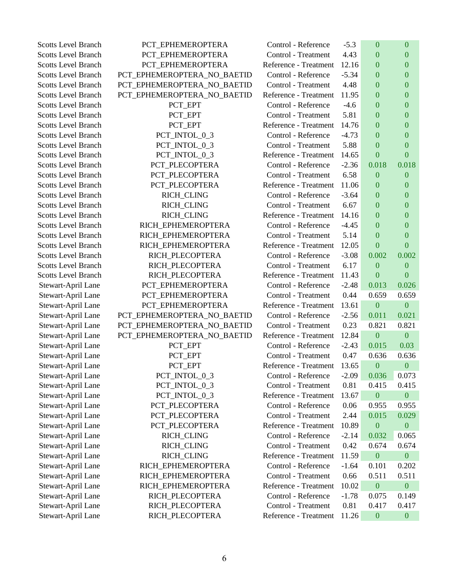| <b>Scotts Level Branch</b> | PCT_EPHEMEROPTERA           | Control - Reference   | $-5.3$  | $\mathbf{0}$     | $\overline{0}$   |
|----------------------------|-----------------------------|-----------------------|---------|------------------|------------------|
| <b>Scotts Level Branch</b> | PCT_EPHEMEROPTERA           | Control - Treatment   | 4.43    | $\mathbf{0}$     | $\boldsymbol{0}$ |
| <b>Scotts Level Branch</b> | PCT_EPHEMEROPTERA           | Reference - Treatment | 12.16   | $\mathbf{0}$     | $\overline{0}$   |
| <b>Scotts Level Branch</b> | PCT_EPHEMEROPTERA_NO_BAETID | Control - Reference   | $-5.34$ | $\mathbf{0}$     | $\overline{0}$   |
| <b>Scotts Level Branch</b> | PCT_EPHEMEROPTERA_NO_BAETID | Control - Treatment   | 4.48    | $\boldsymbol{0}$ | $\boldsymbol{0}$ |
| <b>Scotts Level Branch</b> | PCT_EPHEMEROPTERA_NO_BAETID | Reference - Treatment | 11.95   | $\mathbf{0}$     | $\overline{0}$   |
| <b>Scotts Level Branch</b> | PCT_EPT                     | Control - Reference   | $-4.6$  | $\overline{0}$   | $\boldsymbol{0}$ |
| <b>Scotts Level Branch</b> | PCT_EPT                     | Control - Treatment   | 5.81    | $\mathbf{0}$     | $\mathbf{0}$     |
| <b>Scotts Level Branch</b> | PCT_EPT                     | Reference - Treatment | 14.76   | $\mathbf{0}$     | $\boldsymbol{0}$ |
| <b>Scotts Level Branch</b> | PCT_INTOL_0_3               | Control - Reference   | $-4.73$ | $\theta$         | $\overline{0}$   |
| <b>Scotts Level Branch</b> | PCT_INTOL_0_3               | Control - Treatment   | 5.88    | $\overline{0}$   | $\overline{0}$   |
| <b>Scotts Level Branch</b> | PCT_INTOL_0_3               | Reference - Treatment | 14.65   | $\mathbf{0}$     | $\boldsymbol{0}$ |
| <b>Scotts Level Branch</b> | PCT_PLECOPTERA              | Control - Reference   | $-2.36$ | 0.018            | 0.018            |
| <b>Scotts Level Branch</b> | PCT_PLECOPTERA              | Control - Treatment   | 6.58    | $\boldsymbol{0}$ | $\boldsymbol{0}$ |
| <b>Scotts Level Branch</b> | PCT_PLECOPTERA              | Reference - Treatment | 11.06   | $\mathbf{0}$     | $\overline{0}$   |
| <b>Scotts Level Branch</b> | RICH_CLING                  | Control - Reference   | $-3.64$ | $\boldsymbol{0}$ | $\boldsymbol{0}$ |
| <b>Scotts Level Branch</b> | RICH_CLING                  | Control - Treatment   | 6.67    | $\theta$         | $\overline{0}$   |
| <b>Scotts Level Branch</b> | RICH_CLING                  | Reference - Treatment | 14.16   | $\mathbf{0}$     | $\overline{0}$   |
| <b>Scotts Level Branch</b> | RICH_EPHEMEROPTERA          | Control - Reference   | $-4.45$ | $\mathbf{0}$     | $\boldsymbol{0}$ |
| <b>Scotts Level Branch</b> | RICH_EPHEMEROPTERA          | Control - Treatment   | 5.14    | $\mathbf{0}$     | $\boldsymbol{0}$ |
| <b>Scotts Level Branch</b> | RICH_EPHEMEROPTERA          | Reference - Treatment | 12.05   | $\mathbf{0}$     | $\mathbf{0}$     |
| <b>Scotts Level Branch</b> | RICH_PLECOPTERA             | Control - Reference   | $-3.08$ | 0.002            | 0.002            |
| <b>Scotts Level Branch</b> | RICH_PLECOPTERA             | Control - Treatment   | 6.17    | $\boldsymbol{0}$ | $\boldsymbol{0}$ |
| <b>Scotts Level Branch</b> | RICH_PLECOPTERA             | Reference - Treatment | 11.43   | $\mathbf{0}$     | $\boldsymbol{0}$ |
| Stewart-April Lane         | PCT_EPHEMEROPTERA           | Control - Reference   | $-2.48$ | 0.013            | 0.026            |
| Stewart-April Lane         | PCT_EPHEMEROPTERA           | Control - Treatment   | 0.44    | 0.659            | 0.659            |
| Stewart-April Lane         | PCT_EPHEMEROPTERA           | Reference - Treatment | 13.61   | $\mathbf{0}$     | $\boldsymbol{0}$ |
| Stewart-April Lane         | PCT_EPHEMEROPTERA_NO_BAETID | Control - Reference   | $-2.56$ | 0.011            | 0.021            |
| Stewart-April Lane         | PCT_EPHEMEROPTERA_NO_BAETID | Control - Treatment   | 0.23    | 0.821            | 0.821            |
| Stewart-April Lane         | PCT_EPHEMEROPTERA_NO_BAETID | Reference - Treatment | 12.84   | $\mathbf{0}$     | $\boldsymbol{0}$ |
| Stewart-April Lane         | PCT_EPT                     | Control - Reference   | $-2.43$ | 0.015            | 0.03             |
| Stewart-April Lane         | PCT_EPT                     | Control - Treatment   | 0.47    | 0.636            | 0.636            |
| Stewart-April Lane         | PCT_EPT                     | Reference - Treatment | 13.65   | $\mathbf{0}$     | $\boldsymbol{0}$ |
| Stewart-April Lane         | PCT_INTOL_0_3               | Control - Reference   | $-2.09$ | 0.036            | 0.073            |
| Stewart-April Lane         | PCT_INTOL_0_3               | Control - Treatment   | 0.81    | 0.415            | 0.415            |
| Stewart-April Lane         | PCT_INTOL_0_3               | Reference - Treatment | 13.67   | $\boldsymbol{0}$ | $\boldsymbol{0}$ |
| Stewart-April Lane         | PCT_PLECOPTERA              | Control - Reference   | 0.06    | 0.955            | 0.955            |
| Stewart-April Lane         | PCT_PLECOPTERA              | Control - Treatment   | 2.44    | 0.015            | 0.029            |
| Stewart-April Lane         | PCT_PLECOPTERA              | Reference - Treatment | 10.89   | $\boldsymbol{0}$ | $\boldsymbol{0}$ |
| Stewart-April Lane         | RICH_CLING                  | Control - Reference   | $-2.14$ | 0.032            | 0.065            |
| Stewart-April Lane         | RICH_CLING                  | Control - Treatment   | 0.42    | 0.674            | 0.674            |
| Stewart-April Lane         | RICH_CLING                  | Reference - Treatment | 11.59   | $\boldsymbol{0}$ | $\boldsymbol{0}$ |
| Stewart-April Lane         | RICH_EPHEMEROPTERA          | Control - Reference   | $-1.64$ | 0.101            | 0.202            |
| Stewart-April Lane         | RICH_EPHEMEROPTERA          | Control - Treatment   | 0.66    | 0.511            | 0.511            |
| Stewart-April Lane         | RICH_EPHEMEROPTERA          | Reference - Treatment | 10.02   | $\boldsymbol{0}$ | $\boldsymbol{0}$ |
| Stewart-April Lane         | RICH_PLECOPTERA             | Control - Reference   | $-1.78$ | 0.075            | 0.149            |
| Stewart-April Lane         | RICH_PLECOPTERA             | Control - Treatment   | 0.81    | 0.417            | 0.417            |
| Stewart-April Lane         | RICH_PLECOPTERA             | Reference - Treatment | 11.26   | $\boldsymbol{0}$ | $\boldsymbol{0}$ |
|                            |                             |                       |         |                  |                  |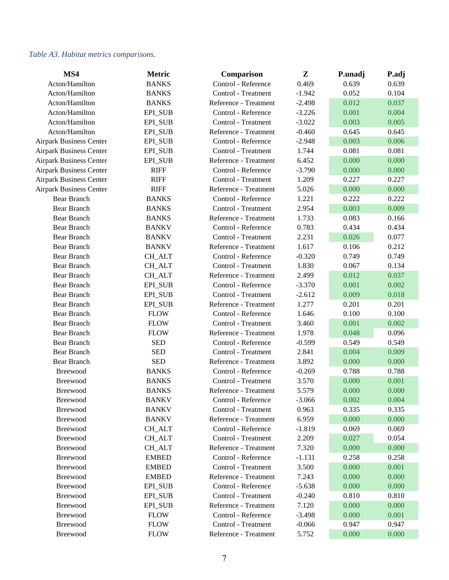### *Table A3. Habitat metrics comparisons.*

| MS4                            | <b>Metric</b>  | Comparison            | Z        | P.unadj | P.adj |
|--------------------------------|----------------|-----------------------|----------|---------|-------|
| Acton/Hamilton                 | <b>BANKS</b>   | Control - Reference   | 0.469    | 0.639   | 0.639 |
| Acton/Hamilton                 | <b>BANKS</b>   | Control - Treatment   | $-1.942$ | 0.052   | 0.104 |
| Acton/Hamilton                 | <b>BANKS</b>   | Reference - Treatment | $-2.498$ | 0.012   | 0.037 |
| Acton/Hamilton                 | EPI_SUB        | Control - Reference   | $-3.226$ | 0.001   | 0.004 |
| Acton/Hamilton                 | EPI_SUB        | Control - Treatment   | $-3.022$ | 0.003   | 0.005 |
| Acton/Hamilton                 | EPI_SUB        | Reference - Treatment | $-0.460$ | 0.645   | 0.645 |
| <b>Airpark Business Center</b> | EPI_SUB        | Control - Reference   | $-2.948$ | 0.003   | 0.006 |
| <b>Airpark Business Center</b> | EPI_SUB        | Control - Treatment   | 1.744    | 0.081   | 0.081 |
| <b>Airpark Business Center</b> | EPI_SUB        | Reference - Treatment | 6.452    | 0.000   | 0.000 |
| <b>Airpark Business Center</b> | <b>RIFF</b>    | Control - Reference   | $-3.790$ | 0.000   | 0.000 |
| <b>Airpark Business Center</b> | <b>RIFF</b>    | Control - Treatment   | 1.209    | 0.227   | 0.227 |
| <b>Airpark Business Center</b> | <b>RIFF</b>    | Reference - Treatment | 5.026    | 0.000   | 0.000 |
| Bear Branch                    | <b>BANKS</b>   | Control - Reference   | 1.221    | 0.222   | 0.222 |
| <b>Bear Branch</b>             | <b>BANKS</b>   | Control - Treatment   | 2.954    | 0.003   | 0.009 |
| <b>Bear Branch</b>             | <b>BANKS</b>   | Reference - Treatment | 1.733    | 0.083   | 0.166 |
| <b>Bear Branch</b>             | <b>BANKV</b>   | Control - Reference   | 0.783    | 0.434   | 0.434 |
| <b>Bear Branch</b>             | <b>BANKV</b>   | Control - Treatment   | 2.231    | 0.026   | 0.077 |
| <b>Bear Branch</b>             | <b>BANKV</b>   | Reference - Treatment | 1.617    | 0.106   | 0.212 |
| <b>Bear Branch</b>             | <b>CH_ALT</b>  | Control - Reference   | $-0.320$ | 0.749   | 0.749 |
| <b>Bear Branch</b>             | CH_ALT         | Control - Treatment   | 1.830    | 0.067   | 0.134 |
| <b>Bear Branch</b>             | CH_ALT         | Reference - Treatment | 2.499    | 0.012   | 0.037 |
| <b>Bear Branch</b>             | EPI_SUB        | Control - Reference   | $-3.370$ | 0.001   | 0.002 |
| <b>Bear Branch</b>             | EPI_SUB        | Control - Treatment   | $-2.612$ | 0.009   | 0.018 |
| <b>Bear Branch</b>             | EPI_SUB        | Reference - Treatment | 1.277    | 0.201   | 0.201 |
| <b>Bear Branch</b>             | <b>FLOW</b>    | Control - Reference   | 1.646    | 0.100   | 0.100 |
| <b>Bear Branch</b>             | <b>FLOW</b>    | Control - Treatment   | 3.460    | 0.001   | 0.002 |
| <b>Bear Branch</b>             | <b>FLOW</b>    | Reference - Treatment | 1.978    | 0.048   | 0.096 |
| <b>Bear Branch</b>             | <b>SED</b>     | Control - Reference   | $-0.599$ | 0.549   | 0.549 |
| <b>Bear Branch</b>             | <b>SED</b>     | Control - Treatment   | 2.841    | 0.004   | 0.009 |
| <b>Bear Branch</b>             | <b>SED</b>     | Reference - Treatment | 3.892    | 0.000   | 0.000 |
| Breewood                       | <b>BANKS</b>   | Control - Reference   | $-0.269$ | 0.788   | 0.788 |
| Breewood                       | <b>BANKS</b>   | Control - Treatment   | 3.570    | 0.000   | 0.001 |
| Breewood                       | <b>BANKS</b>   | Reference - Treatment | 5.579    | 0.000   | 0.000 |
| Breewood                       | <b>BANKV</b>   | Control - Reference   | $-3.066$ | 0.002   | 0.004 |
| Breewood                       | <b>BANKV</b>   | Control - Treatment   | 0.963    | 0.335   | 0.335 |
| Breewood                       | <b>BANKV</b>   | Reference - Treatment | 6.959    | 0.000   | 0.000 |
| Breewood                       | <b>CH_ALT</b>  | Control - Reference   | $-1.819$ | 0.069   | 0.069 |
| Breewood                       | <b>CH_ALT</b>  | Control - Treatment   | 2.209    | 0.027   | 0.054 |
| Breewood                       | <b>CH_ALT</b>  | Reference - Treatment | 7.320    | 0.000   | 0.000 |
| Breewood                       | <b>EMBED</b>   | Control - Reference   | $-1.131$ | 0.258   | 0.258 |
| Breewood                       | <b>EMBED</b>   | Control - Treatment   | 3.500    | 0.000   | 0.001 |
| Breewood                       | <b>EMBED</b>   | Reference - Treatment | 7.243    | 0.000   | 0.000 |
| Breewood                       | EPI_SUB        | Control - Reference   | $-5.638$ | 0.000   | 0.000 |
| Breewood                       | <b>EPI_SUB</b> | Control - Treatment   | $-0.240$ | 0.810   | 0.810 |
| Breewood                       | <b>EPI_SUB</b> | Reference - Treatment | 7.120    | 0.000   | 0.000 |
| Breewood                       | <b>FLOW</b>    | Control - Reference   | $-3.498$ | 0.000   | 0.001 |
| Breewood                       | <b>FLOW</b>    | Control - Treatment   | $-0.066$ | 0.947   | 0.947 |
| Breewood                       | <b>FLOW</b>    | Reference - Treatment | 5.752    | 0.000   | 0.000 |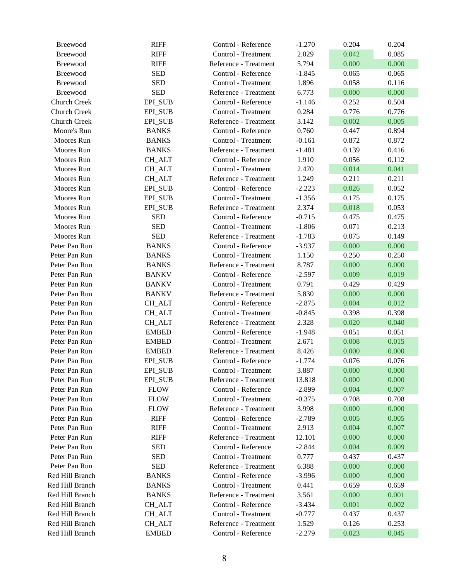| <b>Breewood</b>     | <b>RIFF</b>    | Control - Reference   | $-1.270$ | 0.204 | 0.204 |
|---------------------|----------------|-----------------------|----------|-------|-------|
| <b>Breewood</b>     | <b>RIFF</b>    | Control - Treatment   | 2.029    | 0.042 | 0.085 |
| Breewood            | <b>RIFF</b>    | Reference - Treatment | 5.794    | 0.000 | 0.000 |
| <b>Breewood</b>     | <b>SED</b>     | Control - Reference   | $-1.845$ | 0.065 | 0.065 |
| <b>Breewood</b>     | <b>SED</b>     | Control - Treatment   | 1.896    | 0.058 | 0.116 |
| Breewood            | <b>SED</b>     | Reference - Treatment | 6.773    | 0.000 | 0.000 |
| <b>Church Creek</b> | <b>EPI_SUB</b> | Control - Reference   | $-1.146$ | 0.252 | 0.504 |
| <b>Church Creek</b> | EPI_SUB        | Control - Treatment   | 0.284    | 0.776 | 0.776 |
| <b>Church Creek</b> | EPI_SUB        | Reference - Treatment | 3.142    | 0.002 | 0.005 |
| Moore's Run         | <b>BANKS</b>   | Control - Reference   | 0.760    | 0.447 | 0.894 |
| Moores Run          | <b>BANKS</b>   | Control - Treatment   | $-0.161$ | 0.872 | 0.872 |
| Moores Run          | <b>BANKS</b>   | Reference - Treatment | $-1.481$ | 0.139 | 0.416 |
| Moores Run          | <b>CH_ALT</b>  | Control - Reference   | 1.910    | 0.056 | 0.112 |
| Moores Run          | <b>CH_ALT</b>  | Control - Treatment   | 2.470    | 0.014 | 0.041 |
| Moores Run          | <b>CH_ALT</b>  | Reference - Treatment | 1.249    | 0.211 | 0.211 |
| Moores Run          | EPI_SUB        | Control - Reference   | $-2.223$ | 0.026 | 0.052 |
| Moores Run          | EPI_SUB        | Control - Treatment   | $-1.356$ | 0.175 | 0.175 |
| Moores Run          | <b>EPI_SUB</b> | Reference - Treatment | 2.374    | 0.018 | 0.053 |
| Moores Run          | <b>SED</b>     | Control - Reference   | $-0.715$ | 0.475 | 0.475 |
| Moores Run          | <b>SED</b>     | Control - Treatment   | $-1.806$ | 0.071 | 0.213 |
| Moores Run          | <b>SED</b>     | Reference - Treatment | $-1.783$ | 0.075 | 0.149 |
| Peter Pan Run       | <b>BANKS</b>   | Control - Reference   | $-3.937$ | 0.000 | 0.000 |
| Peter Pan Run       | <b>BANKS</b>   | Control - Treatment   | 1.150    | 0.250 | 0.250 |
| Peter Pan Run       | <b>BANKS</b>   | Reference - Treatment | 8.787    | 0.000 | 0.000 |
| Peter Pan Run       | <b>BANKV</b>   | Control - Reference   | $-2.597$ | 0.009 | 0.019 |
| Peter Pan Run       | <b>BANKV</b>   | Control - Treatment   | 0.791    | 0.429 | 0.429 |
| Peter Pan Run       | <b>BANKV</b>   | Reference - Treatment | 5.830    | 0.000 | 0.000 |
| Peter Pan Run       | CH_ALT         | Control - Reference   | $-2.875$ | 0.004 | 0.012 |
| Peter Pan Run       | <b>CH_ALT</b>  | Control - Treatment   | $-0.845$ | 0.398 | 0.398 |
| Peter Pan Run       | <b>CH_ALT</b>  | Reference - Treatment | 2.328    | 0.020 | 0.040 |
| Peter Pan Run       | <b>EMBED</b>   | Control - Reference   | $-1.948$ | 0.051 | 0.051 |
| Peter Pan Run       | <b>EMBED</b>   | Control - Treatment   | 2.671    | 0.008 | 0.015 |
| Peter Pan Run       | <b>EMBED</b>   | Reference - Treatment | 8.426    | 0.000 | 0.000 |
| Peter Pan Run       | <b>EPI_SUB</b> | Control - Reference   | $-1.774$ | 0.076 | 0.076 |
| Peter Pan Run       | EPI_SUB        | Control - Treatment   | 3.887    | 0.000 | 0.000 |
| Peter Pan Run       | <b>EPI_SUB</b> | Reference - Treatment | 13.818   | 0.000 | 0.000 |
| Peter Pan Run       | <b>FLOW</b>    | Control - Reference   | $-2.899$ | 0.004 | 0.007 |
| Peter Pan Run       | <b>FLOW</b>    | Control - Treatment   | $-0.375$ | 0.708 | 0.708 |
| Peter Pan Run       | <b>FLOW</b>    | Reference - Treatment | 3.998    | 0.000 | 0.000 |
| Peter Pan Run       | <b>RIFF</b>    | Control - Reference   | $-2.789$ | 0.005 | 0.005 |
| Peter Pan Run       | <b>RIFF</b>    | Control - Treatment   | 2.913    | 0.004 | 0.007 |
| Peter Pan Run       | <b>RIFF</b>    | Reference - Treatment | 12.101   | 0.000 | 0.000 |
| Peter Pan Run       | <b>SED</b>     | Control - Reference   | $-2.844$ | 0.004 | 0.009 |
| Peter Pan Run       | <b>SED</b>     | Control - Treatment   | 0.777    | 0.437 | 0.437 |
| Peter Pan Run       | <b>SED</b>     | Reference - Treatment | 6.388    | 0.000 | 0.000 |
| Red Hill Branch     | <b>BANKS</b>   | Control - Reference   | $-3.996$ | 0.000 | 0.000 |
| Red Hill Branch     | <b>BANKS</b>   | Control - Treatment   | 0.441    | 0.659 | 0.659 |
| Red Hill Branch     | <b>BANKS</b>   | Reference - Treatment | 3.561    | 0.000 | 0.001 |
| Red Hill Branch     | <b>CH_ALT</b>  | Control - Reference   | $-3.434$ | 0.001 | 0.002 |
| Red Hill Branch     | <b>CH_ALT</b>  | Control - Treatment   | $-0.777$ | 0.437 | 0.437 |
| Red Hill Branch     | CH_ALT         | Reference - Treatment | 1.529    | 0.126 | 0.253 |
| Red Hill Branch     | <b>EMBED</b>   | Control - Reference   | $-2.279$ | 0.023 | 0.045 |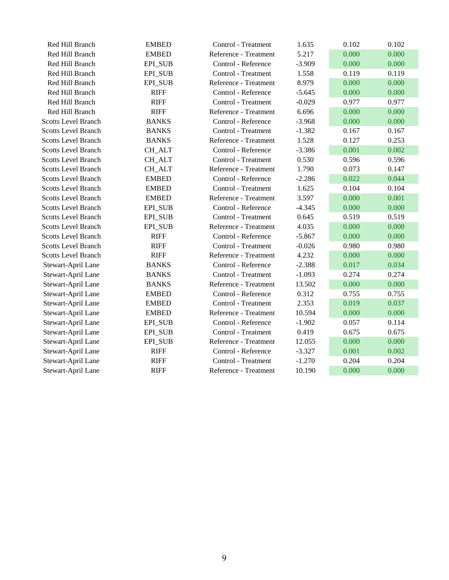| Red Hill Branch            | <b>EMBED</b>   | Control - Treatment   | 1.635    | 0.102 | 0.102 |
|----------------------------|----------------|-----------------------|----------|-------|-------|
| Red Hill Branch            | <b>EMBED</b>   | Reference - Treatment | 5.217    | 0.000 | 0.000 |
| Red Hill Branch            | EPI_SUB        | Control - Reference   | $-3.909$ | 0.000 | 0.000 |
| Red Hill Branch            | <b>EPI_SUB</b> | Control - Treatment   | 1.558    | 0.119 | 0.119 |
| Red Hill Branch            | EPI_SUB        | Reference - Treatment | 8.979    | 0.000 | 0.000 |
| Red Hill Branch            | <b>RIFF</b>    | Control - Reference   | $-5.645$ | 0.000 | 0.000 |
| Red Hill Branch            | <b>RIFF</b>    | Control - Treatment   | $-0.029$ | 0.977 | 0.977 |
| Red Hill Branch            | <b>RIFF</b>    | Reference - Treatment | 6.696    | 0.000 | 0.000 |
| <b>Scotts Level Branch</b> | <b>BANKS</b>   | Control - Reference   | $-3.968$ | 0.000 | 0.000 |
| <b>Scotts Level Branch</b> | <b>BANKS</b>   | Control - Treatment   | $-1.382$ | 0.167 | 0.167 |
| <b>Scotts Level Branch</b> | <b>BANKS</b>   | Reference - Treatment | 1.528    | 0.127 | 0.253 |
| <b>Scotts Level Branch</b> | <b>CH_ALT</b>  | Control - Reference   | $-3.386$ | 0.001 | 0.002 |
| <b>Scotts Level Branch</b> | CH_ALT         | Control - Treatment   | 0.530    | 0.596 | 0.596 |
| <b>Scotts Level Branch</b> | CH_ALT         | Reference - Treatment | 1.790    | 0.073 | 0.147 |
| <b>Scotts Level Branch</b> | <b>EMBED</b>   | Control - Reference   | $-2.286$ | 0.022 | 0.044 |
| <b>Scotts Level Branch</b> | <b>EMBED</b>   | Control - Treatment   | 1.625    | 0.104 | 0.104 |
| <b>Scotts Level Branch</b> | <b>EMBED</b>   | Reference - Treatment | 3.597    | 0.000 | 0.001 |
| <b>Scotts Level Branch</b> | <b>EPI_SUB</b> | Control - Reference   | $-4.345$ | 0.000 | 0.000 |
| <b>Scotts Level Branch</b> | <b>EPI_SUB</b> | Control - Treatment   | 0.645    | 0.519 | 0.519 |
| <b>Scotts Level Branch</b> | EPI_SUB        | Reference - Treatment | 4.035    | 0.000 | 0.000 |
| <b>Scotts Level Branch</b> | <b>RIFF</b>    | Control - Reference   | $-5.867$ | 0.000 | 0.000 |
| <b>Scotts Level Branch</b> | <b>RIFF</b>    | Control - Treatment   | $-0.026$ | 0.980 | 0.980 |
| <b>Scotts Level Branch</b> | <b>RIFF</b>    | Reference - Treatment | 4.232    | 0.000 | 0.000 |
| Stewart-April Lane         | <b>BANKS</b>   | Control - Reference   | $-2.388$ | 0.017 | 0.034 |
| Stewart-April Lane         | <b>BANKS</b>   | Control - Treatment   | $-1.093$ | 0.274 | 0.274 |
| Stewart-April Lane         | <b>BANKS</b>   | Reference - Treatment | 13.502   | 0.000 | 0.000 |
| Stewart-April Lane         | <b>EMBED</b>   | Control - Reference   | 0.312    | 0.755 | 0.755 |
| Stewart-April Lane         | <b>EMBED</b>   | Control - Treatment   | 2.353    | 0.019 | 0.037 |
| Stewart-April Lane         | <b>EMBED</b>   | Reference - Treatment | 10.594   | 0.000 | 0.000 |
| Stewart-April Lane         | EPI_SUB        | Control - Reference   | $-1.902$ | 0.057 | 0.114 |
| Stewart-April Lane         | EPI_SUB        | Control - Treatment   | 0.419    | 0.675 | 0.675 |
| Stewart-April Lane         | <b>EPI_SUB</b> | Reference - Treatment | 12.055   | 0.000 | 0.000 |
| Stewart-April Lane         | <b>RIFF</b>    | Control - Reference   | $-3.327$ | 0.001 | 0.002 |
| Stewart-April Lane         | <b>RIFF</b>    | Control - Treatment   | $-1.270$ | 0.204 | 0.204 |
| Stewart-April Lane         | <b>RIFF</b>    | Reference - Treatment | 10.190   | 0.000 | 0.000 |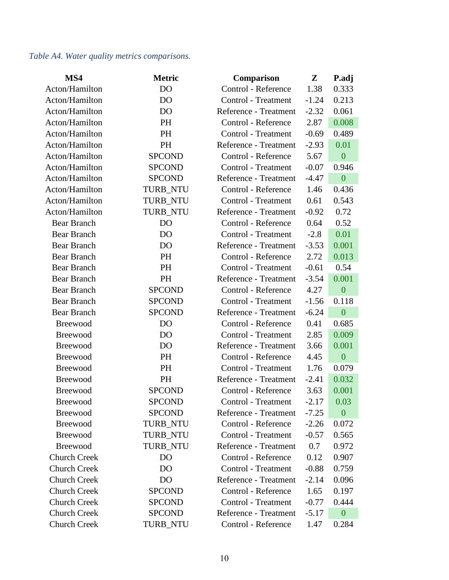## *Table A4. Water quality metrics comparisons.*

| MS4                 | <b>Metric</b>   | Comparison            | ${\bf Z}$ | P.adj            |
|---------------------|-----------------|-----------------------|-----------|------------------|
| Acton/Hamilton      | D <sub>O</sub>  | Control - Reference   | 1.38      | 0.333            |
| Acton/Hamilton      | D <sub>O</sub>  | Control - Treatment   | $-1.24$   | 0.213            |
| Acton/Hamilton      | D <sub>O</sub>  | Reference - Treatment | $-2.32$   | 0.061            |
| Acton/Hamilton      | PH              | Control - Reference   | 2.87      | 0.008            |
| Acton/Hamilton      | <b>PH</b>       | Control - Treatment   | $-0.69$   | 0.489            |
| Acton/Hamilton      | <b>PH</b>       | Reference - Treatment | $-2.93$   | 0.01             |
| Acton/Hamilton      | <b>SPCOND</b>   | Control - Reference   | 5.67      | $\boldsymbol{0}$ |
| Acton/Hamilton      | <b>SPCOND</b>   | Control - Treatment   | $-0.07$   | 0.946            |
| Acton/Hamilton      | <b>SPCOND</b>   | Reference - Treatment | $-4.47$   | $\boldsymbol{0}$ |
| Acton/Hamilton      | <b>TURB_NTU</b> | Control - Reference   | 1.46      | 0.436            |
| Acton/Hamilton      | TURB_NTU        | Control - Treatment   | 0.61      | 0.543            |
| Acton/Hamilton      | TURB_NTU        | Reference - Treatment | $-0.92$   | 0.72             |
| <b>Bear Branch</b>  | D <sub>O</sub>  | Control - Reference   | 0.64      | 0.52             |
| Bear Branch         | D <sub>O</sub>  | Control - Treatment   | $-2.8$    | 0.01             |
| <b>Bear Branch</b>  | DO              | Reference - Treatment | $-3.53$   | 0.001            |
| <b>Bear Branch</b>  | <b>PH</b>       | Control - Reference   | 2.72      | 0.013            |
| <b>Bear Branch</b>  | <b>PH</b>       | Control - Treatment   | $-0.61$   | 0.54             |
| Bear Branch         | <b>PH</b>       | Reference - Treatment | $-3.54$   | 0.001            |
| <b>Bear Branch</b>  | <b>SPCOND</b>   | Control - Reference   | 4.27      | $\boldsymbol{0}$ |
| <b>Bear Branch</b>  | <b>SPCOND</b>   | Control - Treatment   | $-1.56$   | 0.118            |
| <b>Bear Branch</b>  | <b>SPCOND</b>   | Reference - Treatment | $-6.24$   | $\overline{0}$   |
| Breewood            | D <sub>O</sub>  | Control - Reference   | 0.41      | 0.685            |
| Breewood            | D <sub>O</sub>  | Control - Treatment   | 2.85      | 0.009            |
| <b>Breewood</b>     | D <sub>O</sub>  | Reference - Treatment | 3.66      | 0.001            |
| Breewood            | <b>PH</b>       | Control - Reference   | 4.45      | $\overline{0}$   |
| Breewood            | <b>PH</b>       | Control - Treatment   | 1.76      | 0.079            |
| Breewood            | <b>PH</b>       | Reference - Treatment | $-2.41$   | 0.032            |
| <b>Breewood</b>     | <b>SPCOND</b>   | Control - Reference   | 3.63      | 0.001            |
| Breewood            | <b>SPCOND</b>   | Control - Treatment   | $-2.17$   | 0.03             |
| <b>Breewood</b>     | <b>SPCOND</b>   | Reference - Treatment | $-7.25$   | $\mathbf{0}$     |
| <b>Breewood</b>     | TURB_NTU        | Control - Reference   | $-2.26$   | 0.072            |
| Breewood            | <b>TURB NTU</b> | Control - Treatment   | $-0.57$   | 0.565            |
| <b>Breewood</b>     | <b>TURB NTU</b> | Reference - Treatment | 0.7       | 0.972            |
| <b>Church Creek</b> | D <sub>O</sub>  | Control - Reference   | 0.12      | 0.907            |
| <b>Church Creek</b> | D <sub>O</sub>  | Control - Treatment   | $-0.88$   | 0.759            |
| <b>Church Creek</b> | D <sub>O</sub>  | Reference - Treatment | $-2.14$   | 0.096            |
| <b>Church Creek</b> | <b>SPCOND</b>   | Control - Reference   | 1.65      | 0.197            |
| <b>Church Creek</b> | <b>SPCOND</b>   | Control - Treatment   | $-0.77$   | 0.444            |
| <b>Church Creek</b> | <b>SPCOND</b>   | Reference - Treatment | $-5.17$   | $\mathbf{0}$     |
| <b>Church Creek</b> | TURB_NTU        | Control - Reference   | 1.47      | 0.284            |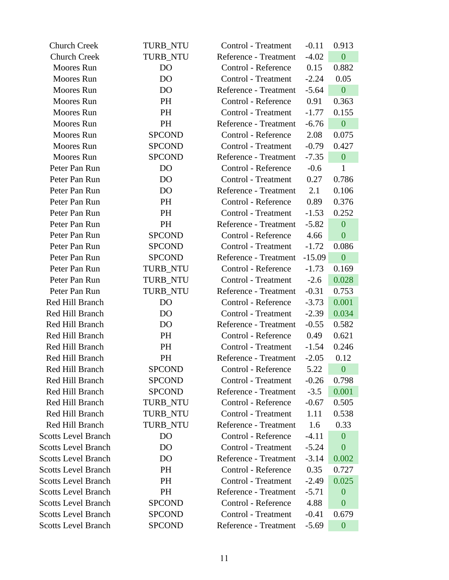| <b>Church Creek</b>        | TURB_NTU        | Control - Treatment   | $-0.11$  | 0.913                             |
|----------------------------|-----------------|-----------------------|----------|-----------------------------------|
| <b>Church Creek</b>        | TURB_NTU        | Reference - Treatment | $-4.02$  | $\overline{0}$                    |
| <b>Moores</b> Run          | D <sub>O</sub>  | Control - Reference   | 0.15     | 0.882                             |
| Moores Run                 | D <sub>O</sub>  | Control - Treatment   | $-2.24$  | 0.05                              |
| Moores Run                 | D <sub>O</sub>  | Reference - Treatment | $-5.64$  | $\overline{0}$                    |
| <b>Moores</b> Run          | PH              | Control - Reference   | 0.91     | 0.363                             |
| <b>Moores</b> Run          | PH              | Control - Treatment   | $-1.77$  | 0.155                             |
| <b>Moores</b> Run          | <b>PH</b>       | Reference - Treatment | $-6.76$  | $\boldsymbol{0}$                  |
| Moores Run                 | <b>SPCOND</b>   | Control - Reference   | 2.08     | 0.075                             |
| Moores Run                 | <b>SPCOND</b>   | Control - Treatment   | $-0.79$  | 0.427                             |
| <b>Moores</b> Run          | <b>SPCOND</b>   | Reference - Treatment | $-7.35$  | $\mathbf{0}$                      |
| Peter Pan Run              | DO              | Control - Reference   | $-0.6$   | $\mathbf{1}$                      |
| Peter Pan Run              | D <sub>O</sub>  | Control - Treatment   | 0.27     | 0.786                             |
| Peter Pan Run              | D <sub>O</sub>  | Reference - Treatment | 2.1      | 0.106                             |
| Peter Pan Run              | PH              | Control - Reference   | 0.89     | 0.376                             |
| Peter Pan Run              | PH              | Control - Treatment   | $-1.53$  | 0.252                             |
| Peter Pan Run              | <b>PH</b>       | Reference - Treatment | $-5.82$  | $\mathbf{0}$                      |
| Peter Pan Run              | <b>SPCOND</b>   | Control - Reference   | 4.66     | $\boldsymbol{0}$                  |
| Peter Pan Run              | <b>SPCOND</b>   | Control - Treatment   | $-1.72$  | 0.086                             |
| Peter Pan Run              | <b>SPCOND</b>   | Reference - Treatment | $-15.09$ | $\overline{0}$                    |
| Peter Pan Run              | TURB_NTU        | Control - Reference   | $-1.73$  | 0.169                             |
| Peter Pan Run              | TURB_NTU        | Control - Treatment   | $-2.6$   | 0.028                             |
| Peter Pan Run              | TURB_NTU        | Reference - Treatment | $-0.31$  | 0.753                             |
| Red Hill Branch            | DO              | Control - Reference   | $-3.73$  | 0.001                             |
| Red Hill Branch            | D <sub>O</sub>  | Control - Treatment   | $-2.39$  | 0.034                             |
| Red Hill Branch            | D <sub>O</sub>  | Reference - Treatment | $-0.55$  | 0.582                             |
| Red Hill Branch            | PH              | Control - Reference   | 0.49     | 0.621                             |
| Red Hill Branch            | PH              | Control - Treatment   | $-1.54$  | 0.246                             |
| Red Hill Branch            | PH              | Reference - Treatment | $-2.05$  | 0.12                              |
| Red Hill Branch            | <b>SPCOND</b>   | Control - Reference   | 5.22     | $\begin{array}{cc} 0 \end{array}$ |
| Red Hill Branch            | <b>SPCOND</b>   | Control - Treatment   | $-0.26$  | 0.798                             |
| Red Hill Branch            | <b>SPCOND</b>   | Reference - Treatment | $-3.5$   | 0.001                             |
| Red Hill Branch            | <b>TURB_NTU</b> | Control - Reference   | $-0.67$  | 0.505                             |
| Red Hill Branch            | TURB_NTU        | Control - Treatment   | 1.11     | 0.538                             |
| Red Hill Branch            | TURB_NTU        | Reference - Treatment | 1.6      | 0.33                              |
| <b>Scotts Level Branch</b> | D <sub>O</sub>  | Control - Reference   | $-4.11$  | $\mathbf{0}$                      |
| <b>Scotts Level Branch</b> | D <sub>O</sub>  | Control - Treatment   | $-5.24$  | $\overline{0}$                    |
| <b>Scotts Level Branch</b> | D <sub>O</sub>  | Reference - Treatment | $-3.14$  | 0.002                             |
| <b>Scotts Level Branch</b> | <b>PH</b>       | Control - Reference   | 0.35     | 0.727                             |
| <b>Scotts Level Branch</b> | PH              | Control - Treatment   | $-2.49$  | 0.025                             |
| <b>Scotts Level Branch</b> | PH              | Reference - Treatment | $-5.71$  | $\boldsymbol{0}$                  |
| <b>Scotts Level Branch</b> | <b>SPCOND</b>   | Control - Reference   | 4.88     | $\boldsymbol{0}$                  |
| <b>Scotts Level Branch</b> | <b>SPCOND</b>   | Control - Treatment   | $-0.41$  | 0.679                             |
| <b>Scotts Level Branch</b> | <b>SPCOND</b>   | Reference - Treatment | $-5.69$  | $\boldsymbol{0}$                  |
|                            |                 |                       |          |                                   |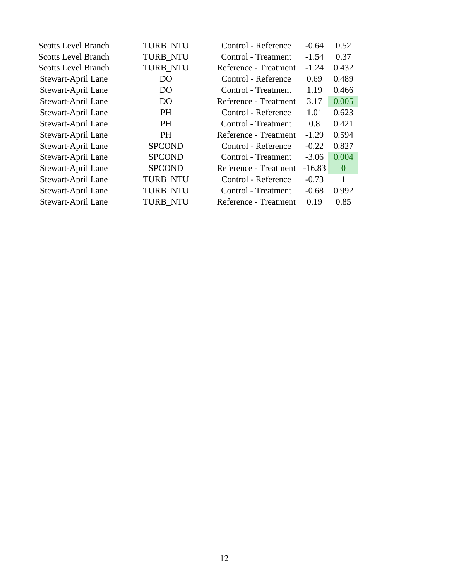| <b>Scotts Level Branch</b> | TURB_NTU        | Control - Reference   | $-0.64$  | 0.52           |
|----------------------------|-----------------|-----------------------|----------|----------------|
| <b>Scotts Level Branch</b> | <b>TURB NTU</b> | Control - Treatment   | $-1.54$  | 0.37           |
| <b>Scotts Level Branch</b> | TURB_NTU        | Reference - Treatment | $-1.24$  | 0.432          |
| Stewart-April Lane         | D <sub>O</sub>  | Control - Reference   | 0.69     | 0.489          |
| Stewart-April Lane         | D <sub>O</sub>  | Control - Treatment   | 1.19     | 0.466          |
| Stewart-April Lane         | D <sub>O</sub>  | Reference - Treatment | 3.17     | 0.005          |
| Stewart-April Lane         | PH              | Control - Reference   | 1.01     | 0.623          |
| Stewart-April Lane         | PH              | Control - Treatment   | 0.8      | 0.421          |
| Stewart-April Lane         | <b>PH</b>       | Reference - Treatment | $-1.29$  | 0.594          |
| Stewart-April Lane         | <b>SPCOND</b>   | Control - Reference   | $-0.22$  | 0.827          |
| Stewart-April Lane         | <b>SPCOND</b>   | Control - Treatment   | $-3.06$  | 0.004          |
| Stewart-April Lane         | <b>SPCOND</b>   | Reference - Treatment | $-16.83$ | $\overline{0}$ |
| Stewart-April Lane         | <b>TURB NTU</b> | Control - Reference   | $-0.73$  | 1              |
| Stewart-April Lane         | <b>TURB_NTU</b> | Control - Treatment   | $-0.68$  | 0.992          |
| Stewart-April Lane         | <b>TURB NTU</b> | Reference - Treatment | 0.19     | 0.85           |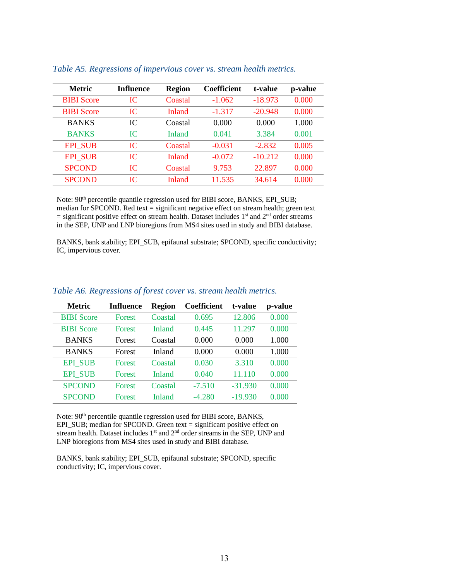| <b>Metric</b>     | <b>Influence</b> | <b>Region</b> | <b>Coefficient</b> | t-value   | p-value |
|-------------------|------------------|---------------|--------------------|-----------|---------|
| <b>BIBI</b> Score | IC               | Coastal       | $-1.062$           | $-18.973$ | 0.000   |
| <b>BIBI</b> Score | IC               | Inland        | $-1.317$           | $-20.948$ | 0.000   |
| <b>BANKS</b>      | IC               | Coastal       | 0.000              | 0.000     | 1.000   |
| <b>BANKS</b>      | IС               | Inland        | 0.041              | 3.384     | 0.001   |
| <b>EPI SUB</b>    | IC               | Coastal       | $-0.031$           | $-2.832$  | 0.005   |
| <b>EPI SUB</b>    | IC               | Inland        | $-0.072$           | $-10.212$ | 0.000   |
| <b>SPCOND</b>     | IC               | Coastal       | 9.753              | 22.897    | 0.000   |
| <b>SPCOND</b>     | IC               | Inland        | 11.535             | 34.614    | 0.000   |
|                   |                  |               |                    |           |         |

#### *Table A5. Regressions of impervious cover vs. stream health metrics.*

Note: 90<sup>th</sup> percentile quantile regression used for BIBI score, BANKS, EPI\_SUB; median for SPCOND. Red text = significant negative effect on stream health; green text  $=$  significant positive effect on stream health. Dataset includes 1<sup>st</sup> and 2<sup>nd</sup> order streams in the SEP, UNP and LNP bioregions from MS4 sites used in study and BIBI database.

BANKS, bank stability; EPI\_SUB, epifaunal substrate; SPCOND, specific conductivity; IC, impervious cover.

| <b>Influence</b> | <b>Region</b> | <b>Coefficient</b> | t-value   | p-value |
|------------------|---------------|--------------------|-----------|---------|
| <b>Forest</b>    | Coastal       | 0.695              | 12.806    | 0.000   |
| <b>Forest</b>    | Inland        | 0.445              | 11.297    | 0.000   |
| Forest           | Coastal       | 0.000              | 0.000     | 1.000   |
| Forest           | Inland        | 0.000              | 0.000     | 1.000   |
| <b>Forest</b>    | Coastal       | 0.030              | 3.310     | 0.000   |
| <b>Forest</b>    | Inland        | 0.040              | 11.110    | 0.000   |
| <b>Forest</b>    | Coastal       | $-7.510$           | $-31.930$ | 0.000   |
| Forest           | Inland        | $-4.280$           | $-19.930$ | 0.000   |
|                  |               |                    |           |         |

#### *Table A6. Regressions of forest cover vs. stream health metrics.*

Note: 90<sup>th</sup> percentile quantile regression used for BIBI score, BANKS, EPI SUB; median for SPCOND. Green text = significant positive effect on stream health. Dataset includes 1<sup>st</sup> and 2<sup>nd</sup> order streams in the SEP, UNP and LNP bioregions from MS4 sites used in study and BIBI database.

BANKS, bank stability; EPI\_SUB, epifaunal substrate; SPCOND, specific conductivity; IC, impervious cover.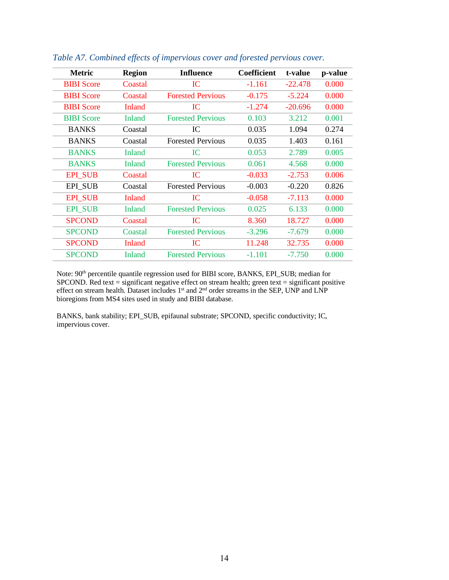| <b>Metric</b>     | <b>Region</b> | <b>Influence</b>         | <b>Coefficient</b> | t-value   | p-value |
|-------------------|---------------|--------------------------|--------------------|-----------|---------|
| <b>BIBI</b> Score | Coastal       | IC                       | $-1.161$           | $-22.478$ | 0.000   |
| <b>BIBI</b> Score | Coastal       | <b>Forested Pervious</b> | $-0.175$           | $-5.224$  | 0.000   |
| <b>BIBI</b> Score | Inland        | IC                       | $-1.274$           | $-20.696$ | 0.000   |
| <b>BIBI</b> Score | Inland        | <b>Forested Pervious</b> | 0.103              | 3.212     | 0.001   |
| <b>BANKS</b>      | Coastal       | IC                       | 0.035              | 1.094     | 0.274   |
| <b>BANKS</b>      | Coastal       | <b>Forested Pervious</b> | 0.035              | 1.403     | 0.161   |
| <b>BANKS</b>      | Inland        | IC.                      | 0.053              | 2.789     | 0.005   |
| <b>BANKS</b>      | Inland        | <b>Forested Pervious</b> | 0.061              | 4.568     | 0.000   |
| <b>EPI SUB</b>    | Coastal       | IC                       | $-0.033$           | $-2.753$  | 0.006   |
| <b>EPI SUB</b>    | Coastal       | <b>Forested Pervious</b> | $-0.003$           | $-0.220$  | 0.826   |
| <b>EPI SUB</b>    | Inland        | <b>IC</b>                | $-0.058$           | $-7.113$  | 0.000   |
| <b>EPI SUB</b>    | <b>Inland</b> | <b>Forested Pervious</b> | 0.025              | 6.133     | 0.000   |
| <b>SPCOND</b>     | Coastal       | IC                       | 8.360              | 18.727    | 0.000   |
| <b>SPCOND</b>     | Coastal       | <b>Forested Pervious</b> | $-3.296$           | $-7.679$  | 0.000   |
| <b>SPCOND</b>     | <b>Inland</b> | IC                       | 11.248             | 32.735    | 0.000   |
| <b>SPCOND</b>     | Inland        | <b>Forested Pervious</b> | $-1.101$           | $-7.750$  | 0.000   |

*Table A7. Combined effects of impervious cover and forested pervious cover.* 

Note: 90<sup>th</sup> percentile quantile regression used for BIBI score, BANKS, EPI\_SUB; median for SPCOND. Red text = significant negative effect on stream health; green text = significant positive effect on stream health. Dataset includes 1<sup>st</sup> and 2<sup>nd</sup> order streams in the SEP, UNP and LNP bioregions from MS4 sites used in study and BIBI database.

BANKS, bank stability; EPI\_SUB, epifaunal substrate; SPCOND, specific conductivity; IC, impervious cover.